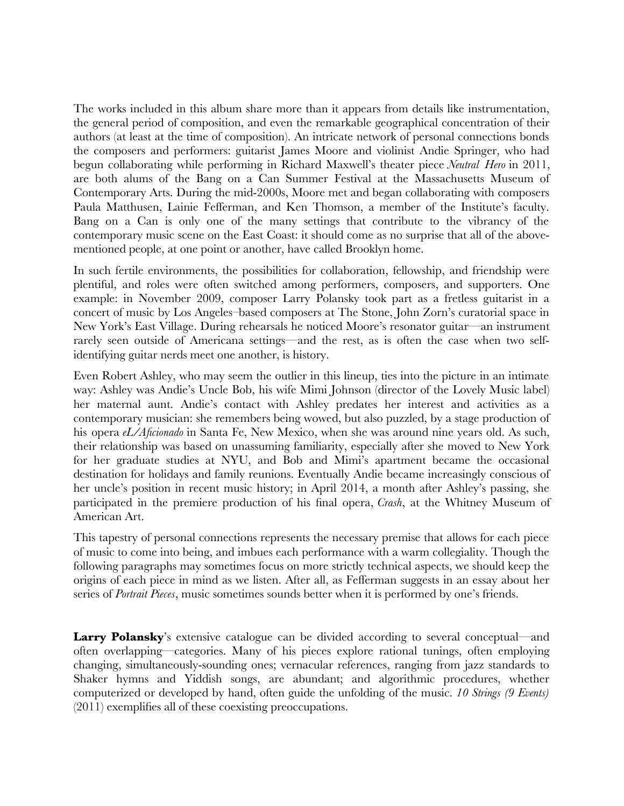The works included in this album share more than it appears from details like instrumentation, the general period of composition, and even the remarkable geographical concentration of their authors (at least at the time of composition). An intricate network of personal connections bonds the composers and performers: guitarist James Moore and violinist Andie Springer, who had begun collaborating while performing in Richard Maxwell's theater piece *Neutral Hero* in 2011, are both alums of the Bang on a Can Summer Festival at the Massachusetts Museum of Contemporary Arts. During the mid-2000s, Moore met and began collaborating with composers Paula Matthusen, Lainie Fefferman, and Ken Thomson, a member of the Institute's faculty. Bang on a Can is only one of the many settings that contribute to the vibrancy of the contemporary music scene on the East Coast: it should come as no surprise that all of the abovementioned people, at one point or another, have called Brooklyn home.

In such fertile environments, the possibilities for collaboration, fellowship, and friendship were plentiful, and roles were often switched among performers, composers, and supporters. One example: in November 2009, composer Larry Polansky took part as a fretless guitarist in a concert of music by Los Angeles–based composers at The Stone, John Zorn's curatorial space in New York's East Village. During rehearsals he noticed Moore's resonator guitar—an instrument rarely seen outside of Americana settings—and the rest, as is often the case when two selfidentifying guitar nerds meet one another, is history.

Even Robert Ashley, who may seem the outlier in this lineup, ties into the picture in an intimate way: Ashley was Andie's Uncle Bob, his wife Mimi Johnson (director of the Lovely Music label) her maternal aunt. Andie's contact with Ashley predates her interest and activities as a contemporary musician: she remembers being wowed, but also puzzled, by a stage production of his opera *eL/Afcionado* in Santa Fe, New Mexico, when she was around nine years old. As such, their relationship was based on unassuming familiarity, especially after she moved to New York for her graduate studies at NYU, and Bob and Mimi's apartment became the occasional destination for holidays and family reunions. Eventually Andie became increasingly conscious of her uncle's position in recent music history; in April 2014, a month after Ashley's passing, she participated in the premiere production of his fnal opera, *Crash*, at the Whitney Museum of American Art.

This tapestry of personal connections represents the necessary premise that allows for each piece of music to come into being, and imbues each performance with a warm collegiality. Though the following paragraphs may sometimes focus on more strictly technical aspects, we should keep the origins of each piece in mind as we listen. After all, as Fefferman suggests in an essay about her series of *Portrait Pieces*, music sometimes sounds better when it is performed by one's friends.

**Larry Polansky**'s extensive catalogue can be divided according to several conceptual—and often overlapping—categories. Many of his pieces explore rational tunings, often employing changing, simultaneously-sounding ones; vernacular references, ranging from jazz standards to Shaker hymns and Yiddish songs, are abundant; and algorithmic procedures, whether computerized or developed by hand, often guide the unfolding of the music. *10 Strings (9 Events)* (2011) exemplifes all of these coexisting preoccupations.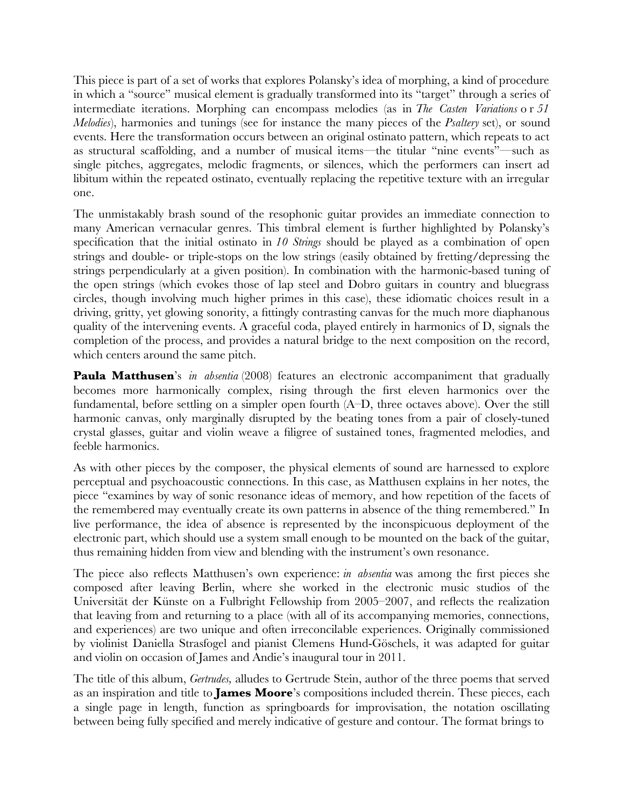This piece is part of a set of works that explores Polansky's idea of morphing, a kind of procedure in which a "source" musical element is gradually transformed into its "target" through a series of intermediate iterations. Morphing can encompass melodies (as in *The Casten Variations* o r *51 Melodies*), harmonies and tunings (see for instance the many pieces of the *Psaltery* set), or sound events. Here the transformation occurs between an original ostinato pattern, which repeats to act as structural scaffolding, and a number of musical items—the titular "nine events"—such as single pitches, aggregates, melodic fragments, or silences, which the performers can insert ad libitum within the repeated ostinato, eventually replacing the repetitive texture with an irregular one.

The unmistakably brash sound of the resophonic guitar provides an immediate connection to many American vernacular genres. This timbral element is further highlighted by Polansky's specifcation that the initial ostinato in *10 Strings* should be played as a combination of open strings and double- or triple-stops on the low strings (easily obtained by fretting/depressing the strings perpendicularly at a given position). In combination with the harmonic-based tuning of the open strings (which evokes those of lap steel and Dobro guitars in country and bluegrass circles, though involving much higher primes in this case), these idiomatic choices result in a driving, gritty, yet glowing sonority, a fttingly contrasting canvas for the much more diaphanous quality of the intervening events. A graceful coda, played entirely in harmonics of D, signals the completion of the process, and provides a natural bridge to the next composition on the record, which centers around the same pitch.

**Paula Matthusen**'s *in absentia* (2008) features an electronic accompaniment that gradually becomes more harmonically complex, rising through the frst eleven harmonics over the fundamental, before settling on a simpler open fourth (A–D, three octaves above). Over the still harmonic canvas, only marginally disrupted by the beating tones from a pair of closely-tuned crystal glasses, guitar and violin weave a fligree of sustained tones, fragmented melodies, and feeble harmonics.

As with other pieces by the composer, the physical elements of sound are harnessed to explore perceptual and psychoacoustic connections. In this case, as Matthusen explains in her notes, the piece "examines by way of sonic resonance ideas of memory, and how repetition of the facets of the remembered may eventually create its own patterns in absence of the thing remembered." In live performance, the idea of absence is represented by the inconspicuous deployment of the electronic part, which should use a system small enough to be mounted on the back of the guitar, thus remaining hidden from view and blending with the instrument's own resonance.

The piece also reflects Matthusen's own experience: *in absentia* was among the first pieces she composed after leaving Berlin, where she worked in the electronic music studios of the Universität der Künste on a Fulbright Fellowship from 2005–2007, and refects the realization that leaving from and returning to a place (with all of its accompanying memories, connections, and experiences) are two unique and often irreconcilable experiences. Originally commissioned by violinist Daniella Strasfogel and pianist Clemens Hund-Göschels, it was adapted for guitar and violin on occasion of James and Andie's inaugural tour in 2011.

The title of this album, *Gertrudes,* alludes to Gertrude Stein, author of the three poems that served as an inspiration and title to **James Moore**'s compositions included therein. These pieces, each a single page in length, function as springboards for improvisation, the notation oscillating between being fully specifed and merely indicative of gesture and contour. The format brings to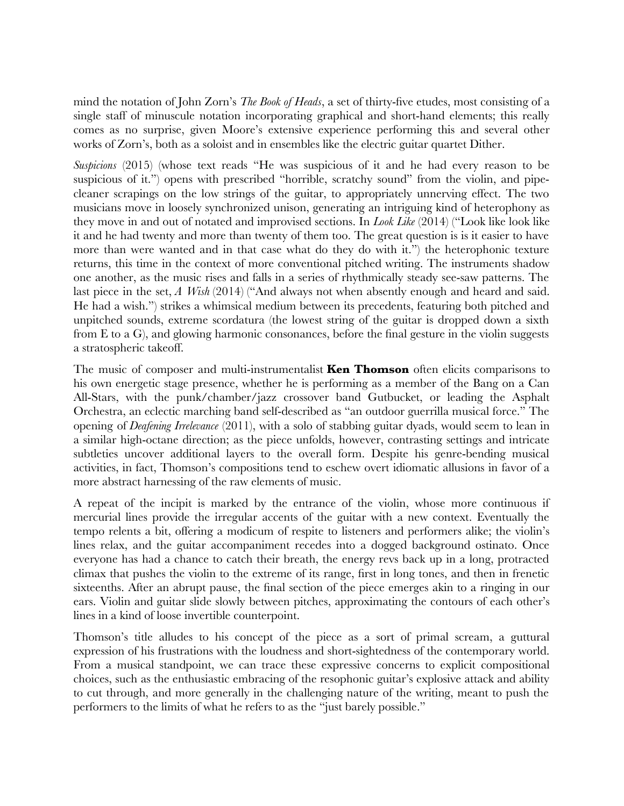mind the notation of John Zorn's *The Book of Heads*, a set of thirty-fve etudes, most consisting of a single staff of minuscule notation incorporating graphical and short-hand elements; this really comes as no surprise, given Moore's extensive experience performing this and several other works of Zorn's, both as a soloist and in ensembles like the electric guitar quartet Dither.

*Suspicions* (2015) (whose text reads "He was suspicious of it and he had every reason to be suspicious of it.") opens with prescribed "horrible, scratchy sound" from the violin, and pipecleaner scrapings on the low strings of the guitar, to appropriately unnerving effect. The two musicians move in loosely synchronized unison, generating an intriguing kind of heterophony as they move in and out of notated and improvised sections. In *Look Like* (2014) ("Look like look like it and he had twenty and more than twenty of them too. The great question is is it easier to have more than were wanted and in that case what do they do with it.") the heterophonic texture returns, this time in the context of more conventional pitched writing. The instruments shadow one another, as the music rises and falls in a series of rhythmically steady see-saw patterns. The last piece in the set, *A Wish* (2014) ("And always not when absently enough and heard and said. He had a wish.") strikes a whimsical medium between its precedents, featuring both pitched and unpitched sounds, extreme scordatura (the lowest string of the guitar is dropped down a sixth from E to a G), and glowing harmonic consonances, before the fnal gesture in the violin suggests a stratospheric takeoff.

The music of composer and multi-instrumentalist **Ken Thomson** often elicits comparisons to his own energetic stage presence, whether he is performing as a member of the Bang on a Can All-Stars, with the punk/chamber/jazz crossover band Gutbucket, or leading the Asphalt Orchestra, an eclectic marching band self-described as "an outdoor guerrilla musical force." The opening of *Deafening Irrelevance* (2011), with a solo of stabbing guitar dyads, would seem to lean in a similar high-octane direction; as the piece unfolds, however, contrasting settings and intricate subtleties uncover additional layers to the overall form. Despite his genre-bending musical activities, in fact, Thomson's compositions tend to eschew overt idiomatic allusions in favor of a more abstract harnessing of the raw elements of music.

A repeat of the incipit is marked by the entrance of the violin, whose more continuous if mercurial lines provide the irregular accents of the guitar with a new context. Eventually the tempo relents a bit, offering a modicum of respite to listeners and performers alike; the violin's lines relax, and the guitar accompaniment recedes into a dogged background ostinato. Once everyone has had a chance to catch their breath, the energy revs back up in a long, protracted climax that pushes the violin to the extreme of its range, frst in long tones, and then in frenetic sixteenths. After an abrupt pause, the fnal section of the piece emerges akin to a ringing in our ears. Violin and guitar slide slowly between pitches, approximating the contours of each other's lines in a kind of loose invertible counterpoint.

Thomson's title alludes to his concept of the piece as a sort of primal scream, a guttural expression of his frustrations with the loudness and short-sightedness of the contemporary world. From a musical standpoint, we can trace these expressive concerns to explicit compositional choices, such as the enthusiastic embracing of the resophonic guitar's explosive attack and ability to cut through, and more generally in the challenging nature of the writing, meant to push the performers to the limits of what he refers to as the "just barely possible."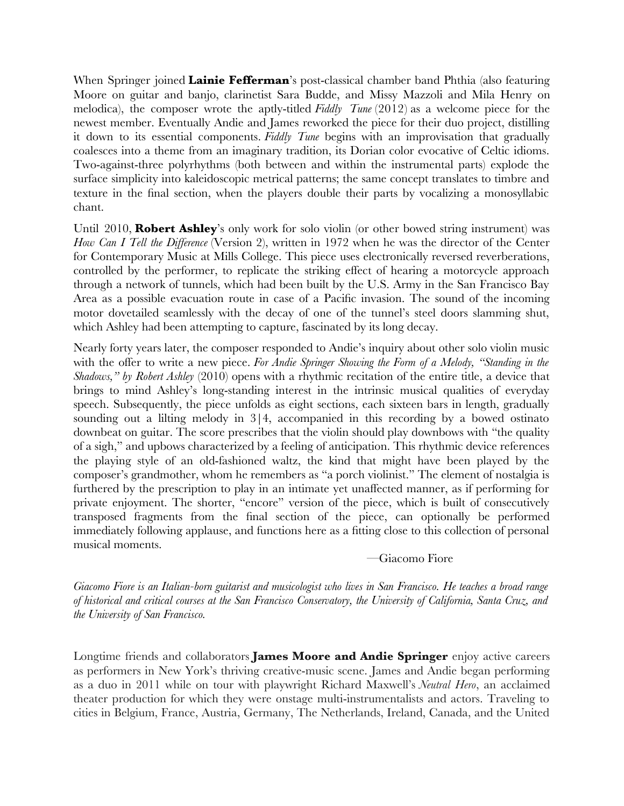When Springer joined **Lainie Fefferman**'s post-classical chamber band Phthia (also featuring Moore on guitar and banjo, clarinetist Sara Budde, and Missy Mazzoli and Mila Henry on melodica), the composer wrote the aptly-titled *Fiddly Tune* (2012) as a welcome piece for the newest member. Eventually Andie and James reworked the piece for their duo project, distilling it down to its essential components. *Fiddly Tune* begins with an improvisation that gradually coalesces into a theme from an imaginary tradition, its Dorian color evocative of Celtic idioms. Two-against-three polyrhythms (both between and within the instrumental parts) explode the surface simplicity into kaleidoscopic metrical patterns; the same concept translates to timbre and texture in the fnal section, when the players double their parts by vocalizing a monosyllabic chant.

Until 2010, **Robert Ashley**'s only work for solo violin (or other bowed string instrument) was *How Can I Tell the Difference* (Version 2), written in 1972 when he was the director of the Center for Contemporary Music at Mills College. This piece uses electronically reversed reverberations, controlled by the performer, to replicate the striking effect of hearing a motorcycle approach through a network of tunnels, which had been built by the U.S. Army in the San Francisco Bay Area as a possible evacuation route in case of a Pacifc invasion. The sound of the incoming motor dovetailed seamlessly with the decay of one of the tunnel's steel doors slamming shut, which Ashley had been attempting to capture, fascinated by its long decay.

Nearly forty years later, the composer responded to Andie's inquiry about other solo violin music with the offer to write a new piece. *For Andie Springer Showing the Form of a Melody, "Standing in the Shadows," by Robert Ashley* (2010) opens with a rhythmic recitation of the entire title, a device that brings to mind Ashley's long-standing interest in the intrinsic musical qualities of everyday speech. Subsequently, the piece unfolds as eight sections, each sixteen bars in length, gradually sounding out a lilting melody in  $3/4$ , accompanied in this recording by a bowed ostinato downbeat on guitar. The score prescribes that the violin should play downbows with "the quality of a sigh," and upbows characterized by a feeling of anticipation. This rhythmic device references the playing style of an old-fashioned waltz, the kind that might have been played by the composer's grandmother, whom he remembers as "a porch violinist." The element of nostalgia is furthered by the prescription to play in an intimate yet unaffected manner, as if performing for private enjoyment. The shorter, "encore" version of the piece, which is built of consecutively transposed fragments from the fnal section of the piece, can optionally be performed immediately following applause, and functions here as a ftting close to this collection of personal musical moments.

—Giacomo Fiore

*Giacomo Fiore is an Italian-born guitarist and musicologist who lives in San Francisco. He teaches a broad range of historical and critical courses at the San Francisco Conservatory, the University of California, Santa Cruz, and the University of San Francisco.*

Longtime friends and collaborators **James Moore and Andie Springer** enjoy active careers as performers in New York's thriving creative-music scene. James and Andie began performing as a duo in 2011 while on tour with playwright Richard Maxwell's *Neutral Hero*, an acclaimed theater production for which they were onstage multi-instrumentalists and actors. Traveling to cities in Belgium, France, Austria, Germany, The Netherlands, Ireland, Canada, and the United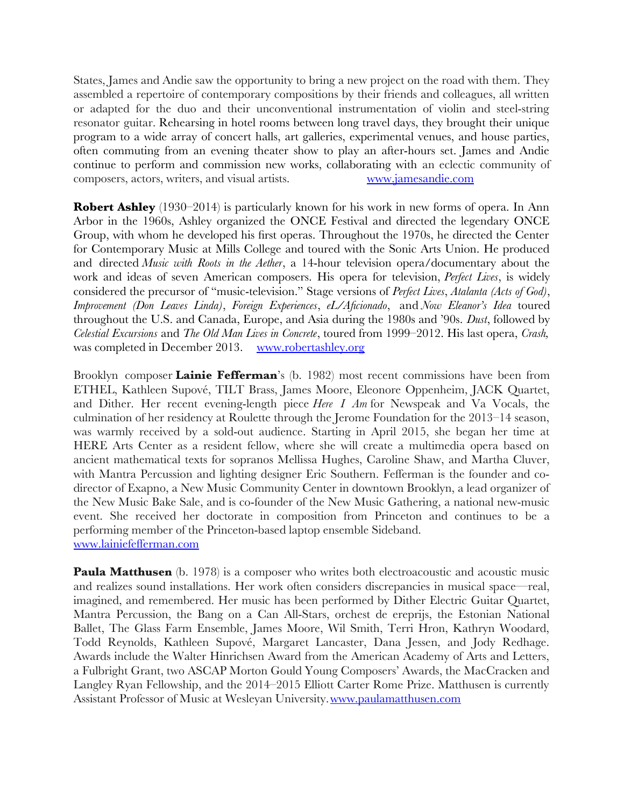States, James and Andie saw the opportunity to bring a new project on the road with them. They assembled a repertoire of contemporary compositions by their friends and colleagues, all written or adapted for the duo and their unconventional instrumentation of violin and steel-string resonator guitar. Rehearsing in hotel rooms between long travel days, they brought their unique program to a wide array of concert halls, art galleries, experimental venues, and house parties, often commuting from an evening theater show to play an after-hours set. James and Andie continue to perform and commission new works, collaborating with an eclectic community of composers, actors, writers, and visual artists. [www.jamesandie.com](http://www.jamesandie.com/)

**Robert Ashley** (1930–2014) is particularly known for his work in new forms of opera. In Ann Arbor in the 1960s, Ashley organized the ONCE Festival and directed the legendary ONCE Group, with whom he developed his frst operas. Throughout the 1970s, he directed the Center for Contemporary Music at Mills College and toured with the Sonic Arts Union. He produced and directed *Music with Roots in the Aether*, a 14-hour television opera/documentary about the work and ideas of seven American composers. His opera for television, *Perfect Lives*, is widely considered the precursor of "music-television." Stage versions of *Perfect Lives*, *Atalanta (Acts of God)*, *Improvement (Don Leaves Linda)*, *Foreign Experiences*, *eL/Afcionado*, and *Now Eleanor's Idea* toured throughout the U.S. and Canada, Europe, and Asia during the 1980s and '90s. *Dust*, followed by *Celestial Excursions* and *The Old Man Lives in Concrete*, toured from 1999–2012. His last opera, *Crash,* was completed in December 2013. [www.robertashley.org](http://www.robertashley.org/)

Brooklyn composer **Lainie Fefferman**'s (b. 1982) most recent commissions have been from ETHEL, Kathleen Supové, TILT Brass, James Moore, Eleonore Oppenheim, JACK Quartet, and Dither. Her recent evening-length piece *Here I Am* for Newspeak and Va Vocals, the culmination of her residency at Roulette through the Jerome Foundation for the 2013–14 season, was warmly received by a sold-out audience. Starting in April 2015, she began her time at HERE Arts Center as a resident fellow, where she will create a multimedia opera based on ancient mathematical texts for sopranos Mellissa Hughes, Caroline Shaw, and Martha Cluver, with Mantra Percussion and lighting designer Eric Southern. Fefferman is the founder and codirector of Exapno, a New Music Community Center in downtown Brooklyn, a lead organizer of the New Music Bake Sale, and is co-founder of the New Music Gathering, a national new-music event. She received her doctorate in composition from Princeton and continues to be a performing member of the Princeton-based laptop ensemble Sideband. [www.lainiefefferman.com](http://www.lainiefefferman.com/)

**Paula Matthusen** (b. 1978) is a composer who writes both electroacoustic and acoustic music and realizes sound installations. Her work often considers discrepancies in musical space—real, imagined, and remembered. Her music has been performed by Dither Electric Guitar Quartet, Mantra Percussion, the Bang on a Can All-Stars, orchest de ereprijs, the Estonian National Ballet, The Glass Farm Ensemble, James Moore, Wil Smith, Terri Hron, Kathryn Woodard, Todd Reynolds, Kathleen Supové, Margaret Lancaster, Dana Jessen, and Jody Redhage. Awards include the Walter Hinrichsen Award from the American Academy of Arts and Letters, a Fulbright Grant, two ASCAP Morton Gould Young Composers' Awards, the MacCracken and Langley Ryan Fellowship, and the 2014–2015 Elliott Carter Rome Prize. Matthusen is currently Assistant Professor of Music at Wesleyan University.[www.paulamatthusen.com](http://www.paulamatthusen.com/)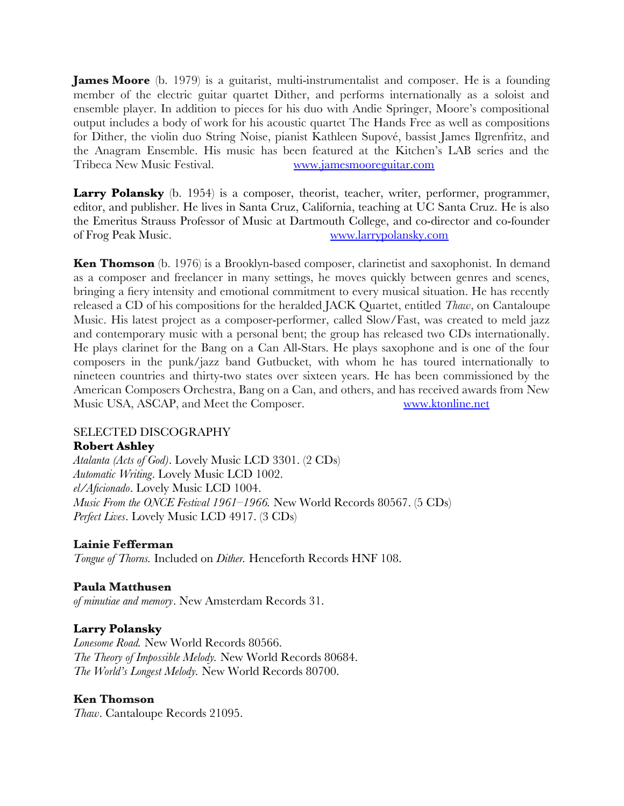**James Moore** (b. 1979) is a guitarist, multi-instrumentalist and composer. He is a founding member of the electric guitar quartet Dither, and performs internationally as a soloist and ensemble player. In addition to pieces for his duo with Andie Springer, Moore's compositional output includes a body of work for his acoustic quartet The Hands Free as well as compositions for Dither, the violin duo String Noise, pianist Kathleen Supové, bassist James Ilgrenfritz, and the Anagram Ensemble. His music has been featured at the Kitchen's LAB series and the Tribeca New Music Festival. [www.jamesmooreguitar.com](http://www.jamesmooreguitar.com/)

**Larry Polansky** (b. 1954) is a composer, theorist, teacher, writer, performer, programmer, editor, and publisher. He lives in Santa Cruz, California, teaching at UC Santa Cruz. He is also the Emeritus Strauss Professor of Music at Dartmouth College, and co-director and co-founder of Frog Peak Music. [www.larrypolansky.com](http://www.larrypolansky.com/)

**Ken Thomson** (b. 1976) is a Brooklyn-based composer, clarinetist and saxophonist. In demand as a composer and freelancer in many settings, he moves quickly between genres and scenes, bringing a fery intensity and emotional commitment to every musical situation. He has recently released a CD of his compositions for the heralded JACK Quartet, entitled *Thaw*, on Cantaloupe Music. His latest project as a composer-performer, called Slow/Fast, was created to meld jazz and contemporary music with a personal bent; the group has released two CDs internationally. He plays clarinet for the Bang on a Can All-Stars. He plays saxophone and is one of the four composers in the punk/jazz band Gutbucket, with whom he has toured internationally to nineteen countries and thirty-two states over sixteen years. He has been commissioned by the American Composers Orchestra, Bang on a Can, and others, and has received awards from New Music USA, ASCAP, and Meet the Composer. [www.ktonline.net](http://www.ktonline.net/)

# SELECTED DISCOGRAPHY

## **Robert Ashley**

*Atalanta (Acts of God)*. Lovely Music LCD 3301. (2 CDs) *Automatic Writing*. Lovely Music LCD 1002. *el/Afcionado*. Lovely Music LCD 1004. *Music From the ONCE Festival 1961–1966.* New World Records 80567. (5 CDs) *Perfect Lives*. Lovely Music LCD 4917. (3 CDs)

# **Lainie Fefferman**

*Tongue of Thorns.* Included on *Dither.* Henceforth Records HNF 108.

## **Paula Matthusen**

*of minutiae and memory*. New Amsterdam Records 31.

## **Larry Polansky**

*Lonesome Road.* New World Records 80566. *The Theory of Impossible Melody.* New World Records 80684. *The World's Longest Melody.* New World Records 80700.

## **Ken Thomson**

*Thaw*. Cantaloupe Records 21095.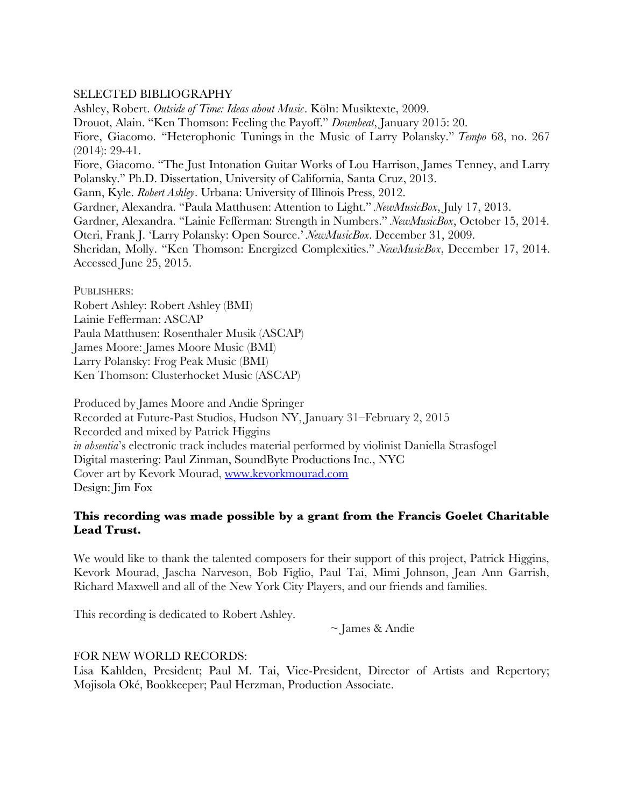## SELECTED BIBLIOGRAPHY

Ashley, Robert. *Outside of Time: Ideas about Music*. Köln: Musiktexte, 2009. Drouot, Alain. "Ken Thomson: Feeling the Payoff." *Downbeat*, January 2015: 20. Fiore, Giacomo. "Heterophonic Tunings in the Music of Larry Polansky." *Tempo* 68, no. 267 (2014): 29-41. Fiore, Giacomo. "The Just Intonation Guitar Works of Lou Harrison, James Tenney, and Larry Polansky." Ph.D. Dissertation, University of California, Santa Cruz, 2013. Gann, Kyle. *Robert Ashley*. Urbana: University of Illinois Press, 2012. Gardner, Alexandra. "Paula Matthusen: Attention to Light." *NewMusicBox*, July 17, 2013. Gardner, Alexandra. "Lainie Fefferman: Strength in Numbers." *NewMusicBox*, October 15, 2014. Oteri, Frank J. 'Larry Polansky: Open Source.' *NewMusicBox*. December 31, 2009. Sheridan, Molly. "Ken Thomson: Energized Complexities." *NewMusicBox*, December 17, 2014. Accessed June 25, 2015.

PUBLISHERS:

Robert Ashley: Robert Ashley (BMI) Lainie Fefferman: ASCAP Paula Matthusen: Rosenthaler Musik (ASCAP) James Moore: James Moore Music (BMI) Larry Polansky: Frog Peak Music (BMI) Ken Thomson: Clusterhocket Music (ASCAP)

Produced by James Moore and Andie Springer Recorded at Future-Past Studios, Hudson NY, January 31–February 2, 2015 Recorded and mixed by Patrick Higgins *in absentia*'s electronic track includes material performed by violinist Daniella Strasfogel Digital mastering: Paul Zinman, SoundByte Productions Inc., NYC Cover art by Kevork Mourad, [www.kevorkmourad.com](http://www.kevorkmourad.com/) Design: Jim Fox

## **This recording was made possible by a grant from the Francis Goelet Charitable Lead Trust.**

We would like to thank the talented composers for their support of this project, Patrick Higgins, Kevork Mourad, Jascha Narveson, Bob Figlio, Paul Tai, Mimi Johnson, Jean Ann Garrish, Richard Maxwell and all of the New York City Players, and our friends and families.

This recording is dedicated to Robert Ashley.

~ James & Andie

## FOR NEW WORLD RECORDS:

Lisa Kahlden, President; Paul M. Tai, Vice-President, Director of Artists and Repertory; Mojisola Oké, Bookkeeper; Paul Herzman, Production Associate.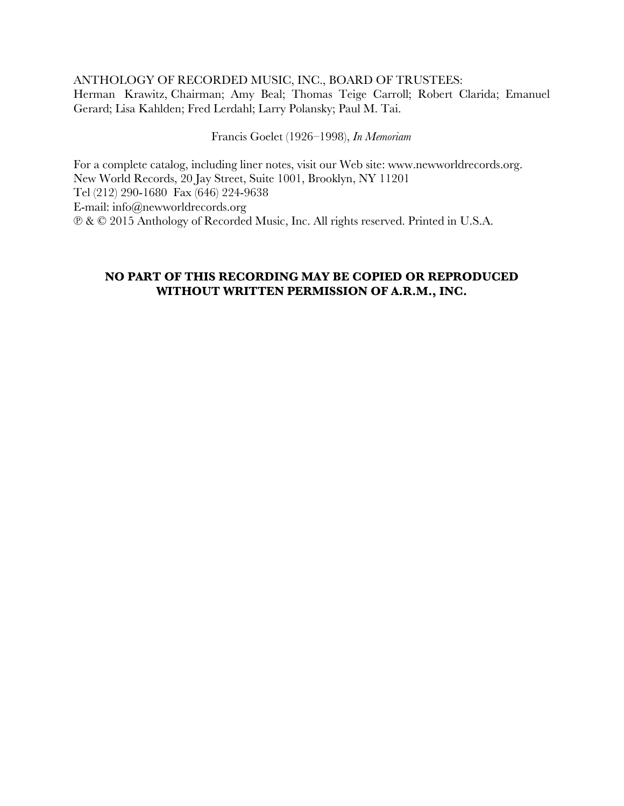## ANTHOLOGY OF RECORDED MUSIC, INC., BOARD OF TRUSTEES:

Herman Krawitz, Chairman; Amy Beal; Thomas Teige Carroll; Robert Clarida; Emanuel Gerard; Lisa Kahlden; Fred Lerdahl; Larry Polansky; Paul M. Tai.

Francis Goelet (1926–1998), *In Memoriam*

For a complete catalog, including liner notes, visit our Web site: www.newworldrecords.org. New World Records, 20 Jay Street, Suite 1001, Brooklyn, NY 11201 Tel (212) 290-1680 Fax (646) 224-9638 E-mail: info@newworldrecords.org ℗ & © 2015 Anthology of Recorded Music, Inc. All rights reserved. Printed in U.S.A.

# **NO PART OF THIS RECORDING MAY BE COPIED OR REPRODUCED WITHOUT WRITTEN PERMISSION OF A.R.M., INC.**